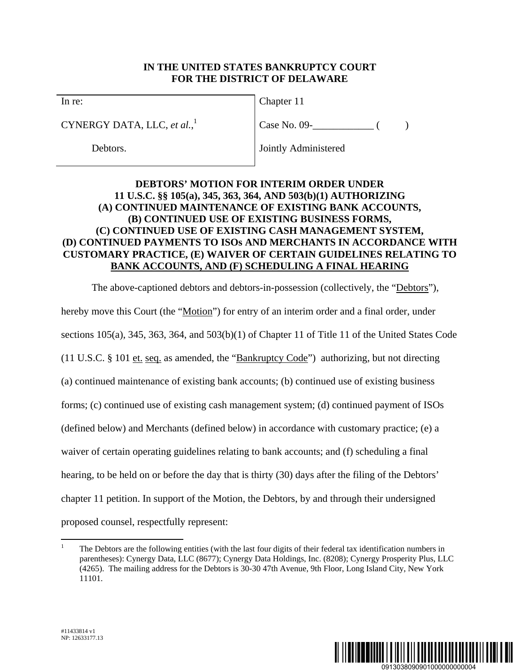## **IN THE UNITED STATES BANKRUPTCY COURT FOR THE DISTRICT OF DELAWARE**

In re:

CYNERGY DATA, LLC, *et al.*, 1

Debtors.

Chapter 11

 $Case No. 09 -$  ( )

Jointly Administered

## **DEBTORS' MOTION FOR INTERIM ORDER UNDER 11 U.S.C. §§ 105(a), 345, 363, 364, AND 503(b)(1) AUTHORIZING (A) CONTINUED MAINTENANCE OF EXISTING BANK ACCOUNTS, (B) CONTINUED USE OF EXISTING BUSINESS FORMS, (C) CONTINUED USE OF EXISTING CASH MANAGEMENT SYSTEM, (D) CONTINUED PAYMENTS TO ISOs AND MERCHANTS IN ACCORDANCE WITH CUSTOMARY PRACTICE, (E) WAIVER OF CERTAIN GUIDELINES RELATING TO BANK ACCOUNTS, AND (F) SCHEDULING A FINAL HEARING**

The above-captioned debtors and debtors-in-possession (collectively, the "Debtors"), hereby move this Court (the "Motion") for entry of an interim order and a final order, under sections 105(a), 345, 363, 364, and 503(b)(1) of Chapter 11 of Title 11 of the United States Code (11 U.S.C. § 101 et. seq. as amended, the "Bankruptcy Code") authorizing, but not directing (a) continued maintenance of existing bank accounts; (b) continued use of existing business forms; (c) continued use of existing cash management system; (d) continued payment of ISOs (defined below) and Merchants (defined below) in accordance with customary practice; (e) a waiver of certain operating guidelines relating to bank accounts; and (f) scheduling a final hearing, to be held on or before the day that is thirty (30) days after the filing of the Debtors' chapter 11 petition. In support of the Motion, the Debtors, by and through their undersigned proposed counsel, respectfully represent:



 $\overline{a}$ 1 The Debtors are the following entities (with the last four digits of their federal tax identification numbers in parentheses): Cynergy Data, LLC (8677); Cynergy Data Holdings, Inc. (8208); Cynergy Prosperity Plus, LLC (4265). The mailing address for the Debtors is 30-30 47th Avenue, 9th Floor, Long Island City, New York 11101.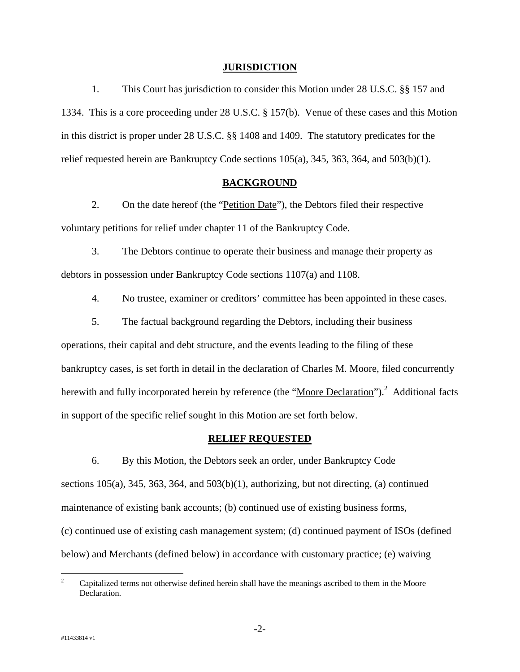#### **JURISDICTION**

1. This Court has jurisdiction to consider this Motion under 28 U.S.C. §§ 157 and 1334. This is a core proceeding under 28 U.S.C. § 157(b). Venue of these cases and this Motion in this district is proper under 28 U.S.C. §§ 1408 and 1409. The statutory predicates for the relief requested herein are Bankruptcy Code sections  $105(a)$ ,  $345$ ,  $363$ ,  $364$ , and  $503(b)(1)$ .

### **BACKGROUND**

2. On the date hereof (the "Petition Date"), the Debtors filed their respective voluntary petitions for relief under chapter 11 of the Bankruptcy Code.

3. The Debtors continue to operate their business and manage their property as debtors in possession under Bankruptcy Code sections 1107(a) and 1108.

4. No trustee, examiner or creditors' committee has been appointed in these cases.

5. The factual background regarding the Debtors, including their business operations, their capital and debt structure, and the events leading to the filing of these bankruptcy cases, is set forth in detail in the declaration of Charles M. Moore, filed concurrently herewith and fully incorporated herein by reference (the "Moore Declaration").<sup>2</sup> Additional facts in support of the specific relief sought in this Motion are set forth below.

## **RELIEF REQUESTED**

6. By this Motion, the Debtors seek an order, under Bankruptcy Code sections  $105(a)$ ,  $345$ ,  $363$ ,  $364$ , and  $503(b)(1)$ , authorizing, but not directing, (a) continued maintenance of existing bank accounts; (b) continued use of existing business forms, (c) continued use of existing cash management system; (d) continued payment of ISOs (defined below) and Merchants (defined below) in accordance with customary practice; (e) waiving

 $\frac{1}{2}$  Capitalized terms not otherwise defined herein shall have the meanings ascribed to them in the Moore Declaration.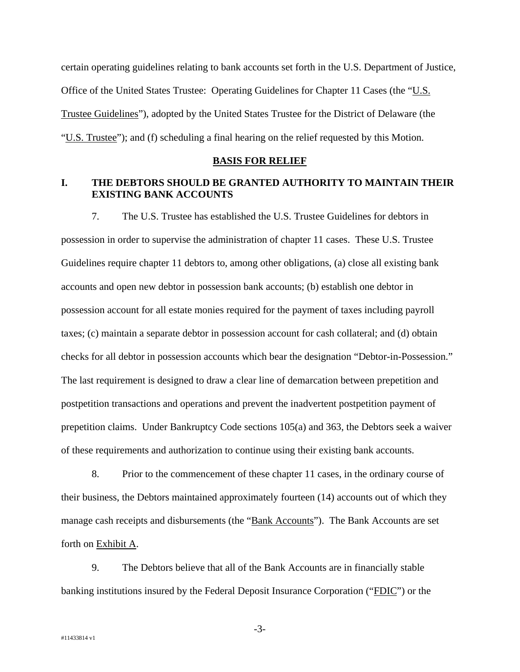certain operating guidelines relating to bank accounts set forth in the U.S. Department of Justice, Office of the United States Trustee: Operating Guidelines for Chapter 11 Cases (the "U.S. Trustee Guidelines"), adopted by the United States Trustee for the District of Delaware (the "U.S. Trustee"); and (f) scheduling a final hearing on the relief requested by this Motion.

#### **BASIS FOR RELIEF**

## **I. THE DEBTORS SHOULD BE GRANTED AUTHORITY TO MAINTAIN THEIR EXISTING BANK ACCOUNTS**

7. The U.S. Trustee has established the U.S. Trustee Guidelines for debtors in possession in order to supervise the administration of chapter 11 cases. These U.S. Trustee Guidelines require chapter 11 debtors to, among other obligations, (a) close all existing bank accounts and open new debtor in possession bank accounts; (b) establish one debtor in possession account for all estate monies required for the payment of taxes including payroll taxes; (c) maintain a separate debtor in possession account for cash collateral; and (d) obtain checks for all debtor in possession accounts which bear the designation "Debtor-in-Possession." The last requirement is designed to draw a clear line of demarcation between prepetition and postpetition transactions and operations and prevent the inadvertent postpetition payment of prepetition claims. Under Bankruptcy Code sections 105(a) and 363, the Debtors seek a waiver of these requirements and authorization to continue using their existing bank accounts.

8. Prior to the commencement of these chapter 11 cases, in the ordinary course of their business, the Debtors maintained approximately fourteen (14) accounts out of which they manage cash receipts and disbursements (the "Bank Accounts"). The Bank Accounts are set forth on Exhibit A.

9. The Debtors believe that all of the Bank Accounts are in financially stable banking institutions insured by the Federal Deposit Insurance Corporation ("FDIC") or the

-3-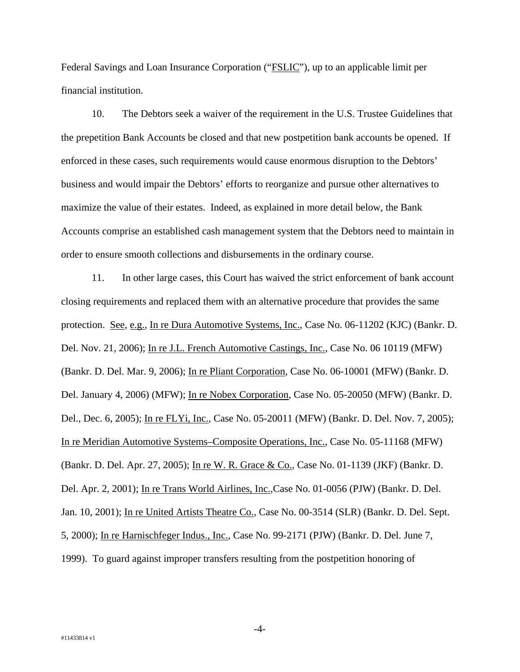Federal Savings and Loan Insurance Corporation ("FSLIC"), up to an applicable limit per financial institution.

10. The Debtors seek a waiver of the requirement in the U.S. Trustee Guidelines that the prepetition Bank Accounts be closed and that new postpetition bank accounts be opened. If enforced in these cases, such requirements would cause enormous disruption to the Debtors' business and would impair the Debtors' efforts to reorganize and pursue other alternatives to maximize the value of their estates. Indeed, as explained in more detail below, the Bank Accounts comprise an established cash management system that the Debtors need to maintain in order to ensure smooth collections and disbursements in the ordinary course.

11. In other large cases, this Court has waived the strict enforcement of bank account closing requirements and replaced them with an alternative procedure that provides the same protection. See, e.g., In re Dura Automotive Systems, Inc., Case No. 06-11202 (KJC) (Bankr. D. Del. Nov. 21, 2006); In re J.L. French Automotive Castings, Inc., Case No. 06 10119 (MFW) (Bankr. D. Del. Mar. 9, 2006); In re Pliant Corporation, Case No. 06-10001 (MFW) (Bankr. D. Del. January 4, 2006) (MFW); In re Nobex Corporation, Case No. 05-20050 (MFW) (Bankr. D. Del., Dec. 6, 2005); In re FLYi, Inc., Case No. 05-20011 (MFW) (Bankr. D. Del. Nov. 7, 2005); In re Meridian Automotive Systems–Composite Operations, Inc., Case No. 05-11168 (MFW) (Bankr. D. Del. Apr. 27, 2005); In re W. R. Grace & Co., Case No. 01-1139 (JKF) (Bankr. D. Del. Apr. 2, 2001); In re Trans World Airlines, Inc.,Case No. 01-0056 (PJW) (Bankr. D. Del. Jan. 10, 2001); In re United Artists Theatre Co., Case No. 00-3514 (SLR) (Bankr. D. Del. Sept. 5, 2000); In re Harnischfeger Indus., Inc., Case No. 99-2171 (PJW) (Bankr. D. Del. June 7, 1999). To guard against improper transfers resulting from the postpetition honoring of

-4-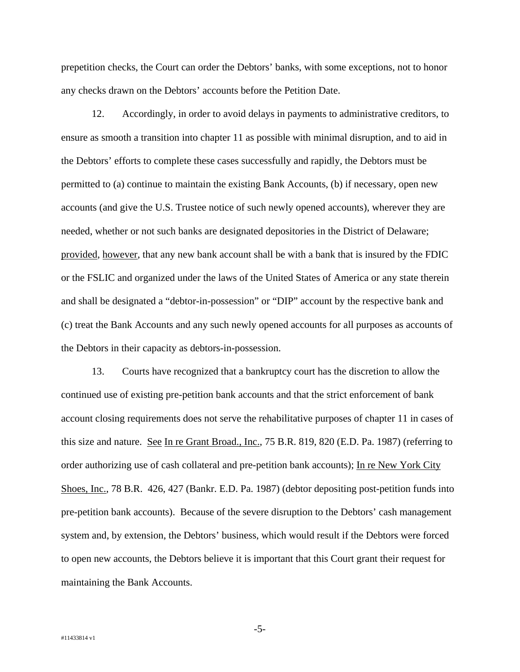prepetition checks, the Court can order the Debtors' banks, with some exceptions, not to honor any checks drawn on the Debtors' accounts before the Petition Date.

12. Accordingly, in order to avoid delays in payments to administrative creditors, to ensure as smooth a transition into chapter 11 as possible with minimal disruption, and to aid in the Debtors' efforts to complete these cases successfully and rapidly, the Debtors must be permitted to (a) continue to maintain the existing Bank Accounts, (b) if necessary, open new accounts (and give the U.S. Trustee notice of such newly opened accounts), wherever they are needed, whether or not such banks are designated depositories in the District of Delaware; provided, however, that any new bank account shall be with a bank that is insured by the FDIC or the FSLIC and organized under the laws of the United States of America or any state therein and shall be designated a "debtor-in-possession" or "DIP" account by the respective bank and (c) treat the Bank Accounts and any such newly opened accounts for all purposes as accounts of the Debtors in their capacity as debtors-in-possession.

13. Courts have recognized that a bankruptcy court has the discretion to allow the continued use of existing pre-petition bank accounts and that the strict enforcement of bank account closing requirements does not serve the rehabilitative purposes of chapter 11 in cases of this size and nature. See In re Grant Broad., Inc., 75 B.R. 819, 820 (E.D. Pa. 1987) (referring to order authorizing use of cash collateral and pre-petition bank accounts); In re New York City Shoes, Inc., 78 B.R. 426, 427 (Bankr. E.D. Pa. 1987) (debtor depositing post-petition funds into pre-petition bank accounts). Because of the severe disruption to the Debtors' cash management system and, by extension, the Debtors' business, which would result if the Debtors were forced to open new accounts, the Debtors believe it is important that this Court grant their request for maintaining the Bank Accounts.

-5-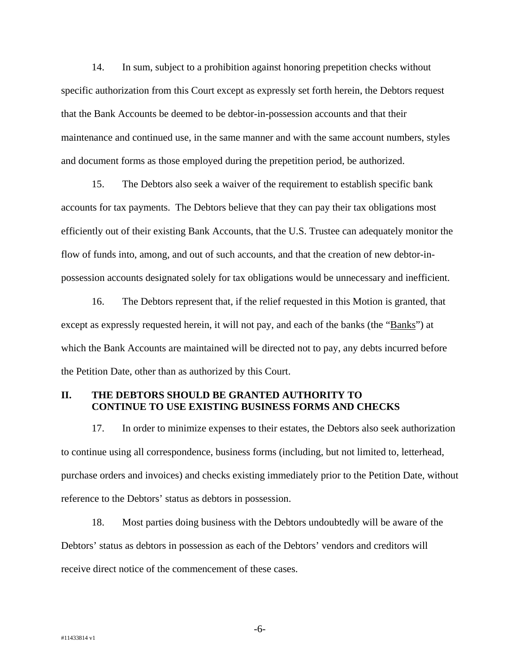14. In sum, subject to a prohibition against honoring prepetition checks without specific authorization from this Court except as expressly set forth herein, the Debtors request that the Bank Accounts be deemed to be debtor-in-possession accounts and that their maintenance and continued use, in the same manner and with the same account numbers, styles and document forms as those employed during the prepetition period, be authorized.

15. The Debtors also seek a waiver of the requirement to establish specific bank accounts for tax payments. The Debtors believe that they can pay their tax obligations most efficiently out of their existing Bank Accounts, that the U.S. Trustee can adequately monitor the flow of funds into, among, and out of such accounts, and that the creation of new debtor-inpossession accounts designated solely for tax obligations would be unnecessary and inefficient.

16. The Debtors represent that, if the relief requested in this Motion is granted, that except as expressly requested herein, it will not pay, and each of the banks (the "Banks") at which the Bank Accounts are maintained will be directed not to pay, any debts incurred before the Petition Date, other than as authorized by this Court.

### **II. THE DEBTORS SHOULD BE GRANTED AUTHORITY TO CONTINUE TO USE EXISTING BUSINESS FORMS AND CHECKS**

17. In order to minimize expenses to their estates, the Debtors also seek authorization to continue using all correspondence, business forms (including, but not limited to, letterhead, purchase orders and invoices) and checks existing immediately prior to the Petition Date, without reference to the Debtors' status as debtors in possession.

18. Most parties doing business with the Debtors undoubtedly will be aware of the Debtors' status as debtors in possession as each of the Debtors' vendors and creditors will receive direct notice of the commencement of these cases.

-6-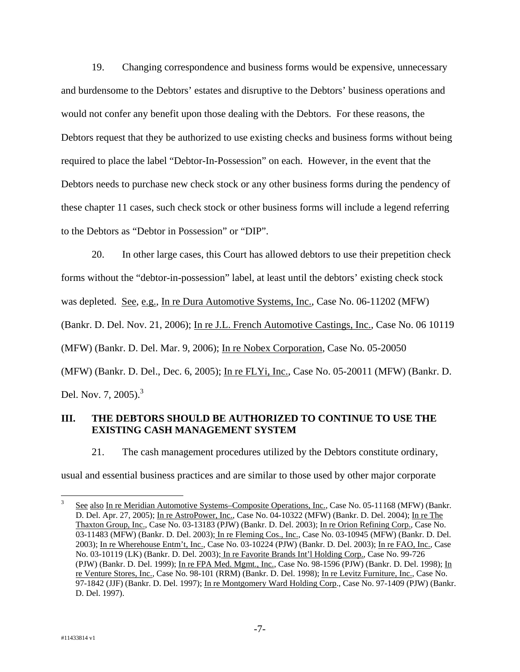19. Changing correspondence and business forms would be expensive, unnecessary and burdensome to the Debtors' estates and disruptive to the Debtors' business operations and would not confer any benefit upon those dealing with the Debtors. For these reasons, the Debtors request that they be authorized to use existing checks and business forms without being required to place the label "Debtor-In-Possession" on each. However, in the event that the Debtors needs to purchase new check stock or any other business forms during the pendency of these chapter 11 cases, such check stock or other business forms will include a legend referring to the Debtors as "Debtor in Possession" or "DIP".

20. In other large cases, this Court has allowed debtors to use their prepetition check forms without the "debtor-in-possession" label, at least until the debtors' existing check stock was depleted. See, e.g., In re Dura Automotive Systems, Inc., Case No. 06-11202 (MFW) (Bankr. D. Del. Nov. 21, 2006); In re J.L. French Automotive Castings, Inc., Case No. 06 10119 (MFW) (Bankr. D. Del. Mar. 9, 2006); In re Nobex Corporation, Case No. 05-20050 (MFW) (Bankr. D. Del., Dec. 6, 2005); In re FLYi, Inc., Case No. 05-20011 (MFW) (Bankr. D. Del. Nov. 7,  $2005$ .<sup>3</sup>

## **III. THE DEBTORS SHOULD BE AUTHORIZED TO CONTINUE TO USE THE EXISTING CASH MANAGEMENT SYSTEM**

21. The cash management procedures utilized by the Debtors constitute ordinary,

usual and essential business practices and are similar to those used by other major corporate

 $\overline{a}$ 

<sup>3</sup> See also In re Meridian Automotive Systems–Composite Operations, Inc., Case No. 05-11168 (MFW) (Bankr. D. Del. Apr. 27, 2005); In re AstroPower, Inc., Case No. 04-10322 (MFW) (Bankr. D. Del. 2004); In re The Thaxton Group, Inc., Case No. 03-13183 (PJW) (Bankr. D. Del. 2003); In re Orion Refining Corp., Case No. 03-11483 (MFW) (Bankr. D. Del. 2003); In re Fleming Cos., Inc., Case No. 03-10945 (MFW) (Bankr. D. Del. 2003); In re Wherehouse Entm't, Inc., Case No. 03-10224 (PJW) (Bankr. D. Del. 2003); In re FAO, Inc., Case No. 03-10119 (LK) (Bankr. D. Del. 2003); In re Favorite Brands Int'l Holding Corp., Case No. 99-726 (PJW) (Bankr. D. Del. 1999); In re FPA Med. Mgmt., Inc., Case No. 98-1596 (PJW) (Bankr. D. Del. 1998); In re Venture Stores, Inc., Case No. 98-101 (RRM) (Bankr. D. Del. 1998); In re Levitz Furniture, Inc., Case No. 97-1842 (JJF) (Bankr. D. Del. 1997); In re Montgomery Ward Holding Corp., Case No. 97-1409 (PJW) (Bankr. D. Del. 1997).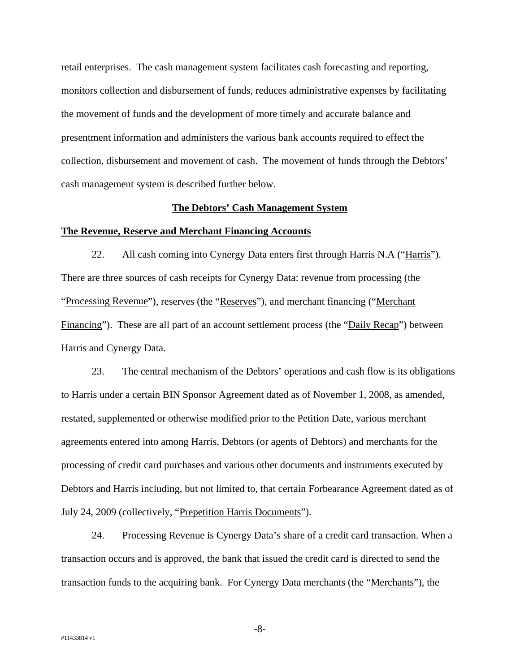retail enterprises. The cash management system facilitates cash forecasting and reporting, monitors collection and disbursement of funds, reduces administrative expenses by facilitating the movement of funds and the development of more timely and accurate balance and presentment information and administers the various bank accounts required to effect the collection, disbursement and movement of cash. The movement of funds through the Debtors' cash management system is described further below.

#### **The Debtors' Cash Management System**

#### **The Revenue, Reserve and Merchant Financing Accounts**

22. All cash coming into Cynergy Data enters first through Harris N.A ("Harris"). There are three sources of cash receipts for Cynergy Data: revenue from processing (the "Processing Revenue"), reserves (the "Reserves"), and merchant financing ("Merchant Financing"). These are all part of an account settlement process (the "Daily Recap") between Harris and Cynergy Data.

23. The central mechanism of the Debtors' operations and cash flow is its obligations to Harris under a certain BIN Sponsor Agreement dated as of November 1, 2008, as amended, restated, supplemented or otherwise modified prior to the Petition Date, various merchant agreements entered into among Harris, Debtors (or agents of Debtors) and merchants for the processing of credit card purchases and various other documents and instruments executed by Debtors and Harris including, but not limited to, that certain Forbearance Agreement dated as of July 24, 2009 (collectively, "Prepetition Harris Documents").

24. Processing Revenue is Cynergy Data's share of a credit card transaction. When a transaction occurs and is approved, the bank that issued the credit card is directed to send the transaction funds to the acquiring bank. For Cynergy Data merchants (the "Merchants"), the

-8-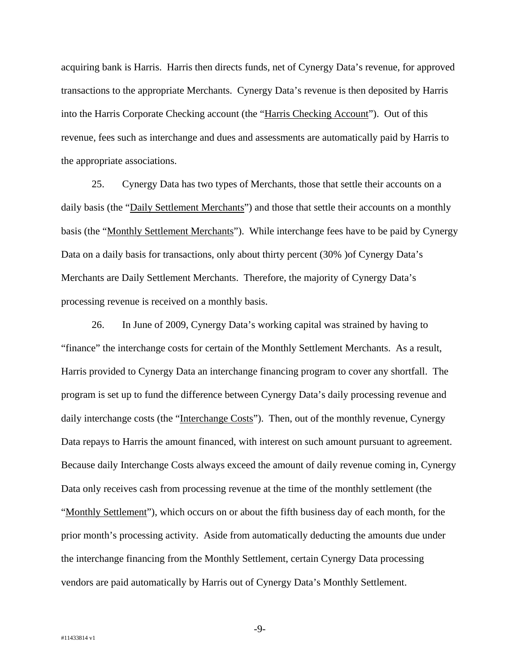acquiring bank is Harris. Harris then directs funds, net of Cynergy Data's revenue, for approved transactions to the appropriate Merchants. Cynergy Data's revenue is then deposited by Harris into the Harris Corporate Checking account (the "Harris Checking Account"). Out of this revenue, fees such as interchange and dues and assessments are automatically paid by Harris to the appropriate associations.

25. Cynergy Data has two types of Merchants, those that settle their accounts on a daily basis (the "Daily Settlement Merchants") and those that settle their accounts on a monthly basis (the "Monthly Settlement Merchants"). While interchange fees have to be paid by Cynergy Data on a daily basis for transactions, only about thirty percent (30% )of Cynergy Data's Merchants are Daily Settlement Merchants. Therefore, the majority of Cynergy Data's processing revenue is received on a monthly basis.

26. In June of 2009, Cynergy Data's working capital was strained by having to "finance" the interchange costs for certain of the Monthly Settlement Merchants. As a result, Harris provided to Cynergy Data an interchange financing program to cover any shortfall. The program is set up to fund the difference between Cynergy Data's daily processing revenue and daily interchange costs (the "Interchange Costs"). Then, out of the monthly revenue, Cynergy Data repays to Harris the amount financed, with interest on such amount pursuant to agreement. Because daily Interchange Costs always exceed the amount of daily revenue coming in, Cynergy Data only receives cash from processing revenue at the time of the monthly settlement (the "Monthly Settlement"), which occurs on or about the fifth business day of each month, for the prior month's processing activity. Aside from automatically deducting the amounts due under the interchange financing from the Monthly Settlement, certain Cynergy Data processing vendors are paid automatically by Harris out of Cynergy Data's Monthly Settlement.

-9-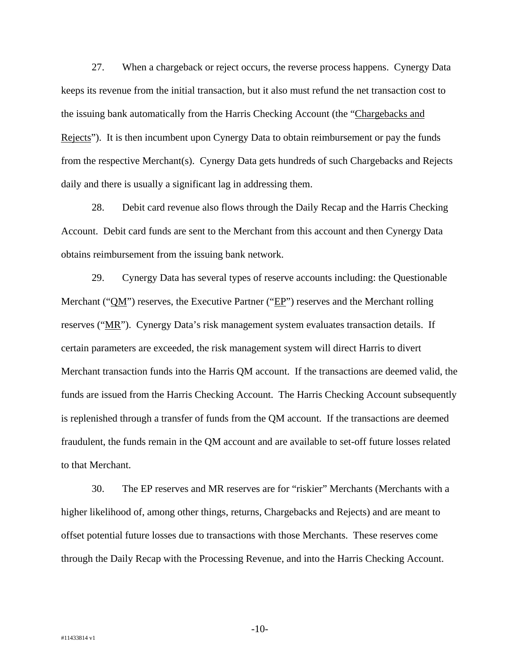27. When a chargeback or reject occurs, the reverse process happens. Cynergy Data keeps its revenue from the initial transaction, but it also must refund the net transaction cost to the issuing bank automatically from the Harris Checking Account (the "Chargebacks and Rejects"). It is then incumbent upon Cynergy Data to obtain reimbursement or pay the funds from the respective Merchant(s). Cynergy Data gets hundreds of such Chargebacks and Rejects daily and there is usually a significant lag in addressing them.

28. Debit card revenue also flows through the Daily Recap and the Harris Checking Account. Debit card funds are sent to the Merchant from this account and then Cynergy Data obtains reimbursement from the issuing bank network.

29. Cynergy Data has several types of reserve accounts including: the Questionable Merchant ("QM") reserves, the Executive Partner ("EP") reserves and the Merchant rolling reserves ("MR"). Cynergy Data's risk management system evaluates transaction details. If certain parameters are exceeded, the risk management system will direct Harris to divert Merchant transaction funds into the Harris QM account. If the transactions are deemed valid, the funds are issued from the Harris Checking Account. The Harris Checking Account subsequently is replenished through a transfer of funds from the QM account. If the transactions are deemed fraudulent, the funds remain in the QM account and are available to set-off future losses related to that Merchant.

30. The EP reserves and MR reserves are for "riskier" Merchants (Merchants with a higher likelihood of, among other things, returns, Chargebacks and Rejects) and are meant to offset potential future losses due to transactions with those Merchants. These reserves come through the Daily Recap with the Processing Revenue, and into the Harris Checking Account.

-10-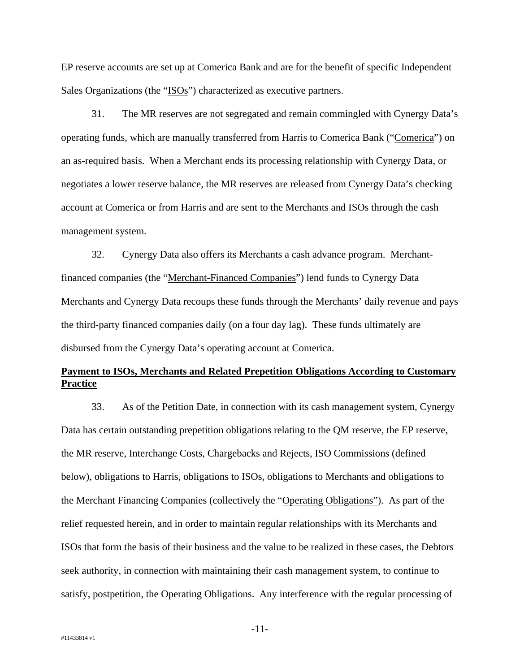EP reserve accounts are set up at Comerica Bank and are for the benefit of specific Independent Sales Organizations (the "ISOs") characterized as executive partners.

31. The MR reserves are not segregated and remain commingled with Cynergy Data's operating funds, which are manually transferred from Harris to Comerica Bank ("Comerica") on an as-required basis. When a Merchant ends its processing relationship with Cynergy Data, or negotiates a lower reserve balance, the MR reserves are released from Cynergy Data's checking account at Comerica or from Harris and are sent to the Merchants and ISOs through the cash management system.

32. Cynergy Data also offers its Merchants a cash advance program. Merchantfinanced companies (the "Merchant-Financed Companies") lend funds to Cynergy Data Merchants and Cynergy Data recoups these funds through the Merchants' daily revenue and pays the third-party financed companies daily (on a four day lag). These funds ultimately are disbursed from the Cynergy Data's operating account at Comerica.

## **Payment to ISOs, Merchants and Related Prepetition Obligations According to Customary Practice**

33. As of the Petition Date, in connection with its cash management system, Cynergy Data has certain outstanding prepetition obligations relating to the QM reserve, the EP reserve, the MR reserve, Interchange Costs, Chargebacks and Rejects, ISO Commissions (defined below), obligations to Harris, obligations to ISOs, obligations to Merchants and obligations to the Merchant Financing Companies (collectively the "Operating Obligations"). As part of the relief requested herein, and in order to maintain regular relationships with its Merchants and ISOs that form the basis of their business and the value to be realized in these cases, the Debtors seek authority, in connection with maintaining their cash management system, to continue to satisfy, postpetition, the Operating Obligations. Any interference with the regular processing of

-11-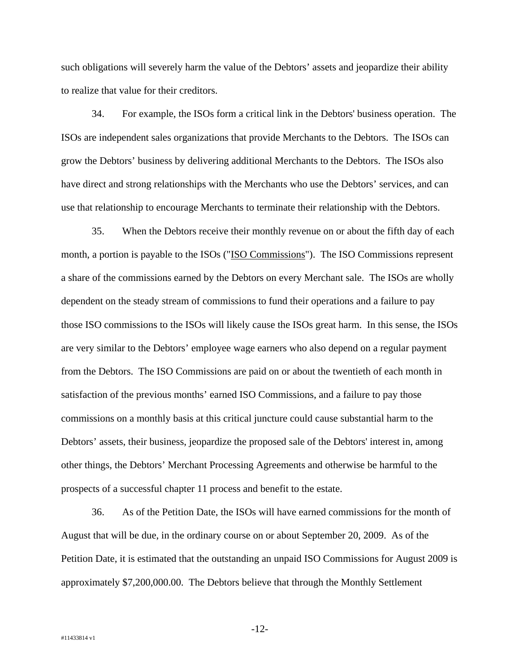such obligations will severely harm the value of the Debtors' assets and jeopardize their ability to realize that value for their creditors.

34. For example, the ISOs form a critical link in the Debtors' business operation. The ISOs are independent sales organizations that provide Merchants to the Debtors. The ISOs can grow the Debtors' business by delivering additional Merchants to the Debtors. The ISOs also have direct and strong relationships with the Merchants who use the Debtors' services, and can use that relationship to encourage Merchants to terminate their relationship with the Debtors.

35. When the Debtors receive their monthly revenue on or about the fifth day of each month, a portion is payable to the ISOs ("ISO Commissions"). The ISO Commissions represent a share of the commissions earned by the Debtors on every Merchant sale. The ISOs are wholly dependent on the steady stream of commissions to fund their operations and a failure to pay those ISO commissions to the ISOs will likely cause the ISOs great harm. In this sense, the ISOs are very similar to the Debtors' employee wage earners who also depend on a regular payment from the Debtors. The ISO Commissions are paid on or about the twentieth of each month in satisfaction of the previous months' earned ISO Commissions, and a failure to pay those commissions on a monthly basis at this critical juncture could cause substantial harm to the Debtors' assets, their business, jeopardize the proposed sale of the Debtors' interest in, among other things, the Debtors' Merchant Processing Agreements and otherwise be harmful to the prospects of a successful chapter 11 process and benefit to the estate.

36. As of the Petition Date, the ISOs will have earned commissions for the month of August that will be due, in the ordinary course on or about September 20, 2009. As of the Petition Date, it is estimated that the outstanding an unpaid ISO Commissions for August 2009 is approximately \$7,200,000.00. The Debtors believe that through the Monthly Settlement

-12-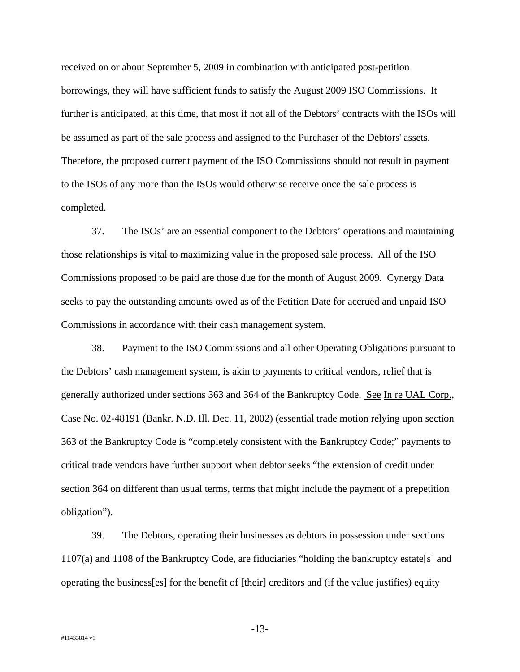received on or about September 5, 2009 in combination with anticipated post-petition borrowings, they will have sufficient funds to satisfy the August 2009 ISO Commissions. It further is anticipated, at this time, that most if not all of the Debtors' contracts with the ISOs will be assumed as part of the sale process and assigned to the Purchaser of the Debtors' assets. Therefore, the proposed current payment of the ISO Commissions should not result in payment to the ISOs of any more than the ISOs would otherwise receive once the sale process is completed.

37. The ISOs' are an essential component to the Debtors' operations and maintaining those relationships is vital to maximizing value in the proposed sale process. All of the ISO Commissions proposed to be paid are those due for the month of August 2009. Cynergy Data seeks to pay the outstanding amounts owed as of the Petition Date for accrued and unpaid ISO Commissions in accordance with their cash management system.

38. Payment to the ISO Commissions and all other Operating Obligations pursuant to the Debtors' cash management system, is akin to payments to critical vendors, relief that is generally authorized under sections 363 and 364 of the Bankruptcy Code. See In re UAL Corp., Case No. 02-48191 (Bankr. N.D. Ill. Dec. 11, 2002) (essential trade motion relying upon section 363 of the Bankruptcy Code is "completely consistent with the Bankruptcy Code;" payments to critical trade vendors have further support when debtor seeks "the extension of credit under section 364 on different than usual terms, terms that might include the payment of a prepetition obligation").

39. The Debtors, operating their businesses as debtors in possession under sections 1107(a) and 1108 of the Bankruptcy Code, are fiduciaries "holding the bankruptcy estate[s] and operating the business[es] for the benefit of [their] creditors and (if the value justifies) equity

-13-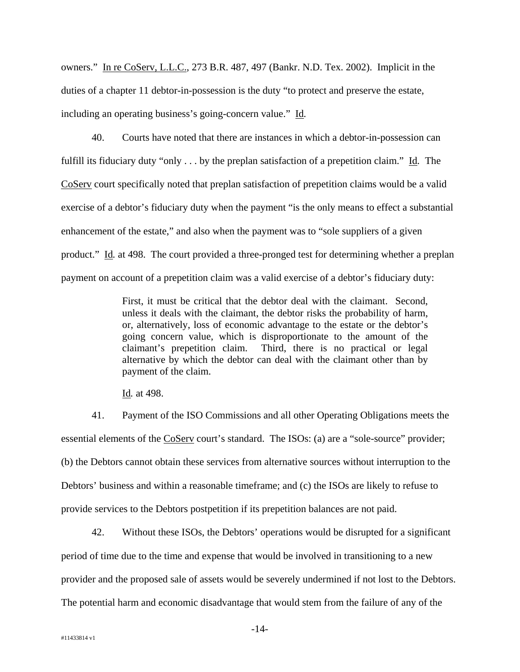owners." In re CoServ, L.L.C., 273 B.R. 487, 497 (Bankr. N.D. Tex. 2002). Implicit in the duties of a chapter 11 debtor-in-possession is the duty "to protect and preserve the estate, including an operating business's going-concern value." Id*.*

40. Courts have noted that there are instances in which a debtor-in-possession can fulfill its fiduciary duty "only . . . by the preplan satisfaction of a prepetition claim." Id*.* The CoServ court specifically noted that preplan satisfaction of prepetition claims would be a valid exercise of a debtor's fiduciary duty when the payment "is the only means to effect a substantial enhancement of the estate," and also when the payment was to "sole suppliers of a given product." Id*.* at 498. The court provided a three-pronged test for determining whether a preplan payment on account of a prepetition claim was a valid exercise of a debtor's fiduciary duty:

> First, it must be critical that the debtor deal with the claimant. Second, unless it deals with the claimant, the debtor risks the probability of harm, or, alternatively, loss of economic advantage to the estate or the debtor's going concern value, which is disproportionate to the amount of the claimant's prepetition claim. Third, there is no practical or legal alternative by which the debtor can deal with the claimant other than by payment of the claim.

Id*.* at 498.

41. Payment of the ISO Commissions and all other Operating Obligations meets the essential elements of the CoServ court's standard. The ISOs: (a) are a "sole-source" provider; (b) the Debtors cannot obtain these services from alternative sources without interruption to the Debtors' business and within a reasonable timeframe; and (c) the ISOs are likely to refuse to provide services to the Debtors postpetition if its prepetition balances are not paid.

42. Without these ISOs, the Debtors' operations would be disrupted for a significant period of time due to the time and expense that would be involved in transitioning to a new provider and the proposed sale of assets would be severely undermined if not lost to the Debtors. The potential harm and economic disadvantage that would stem from the failure of any of the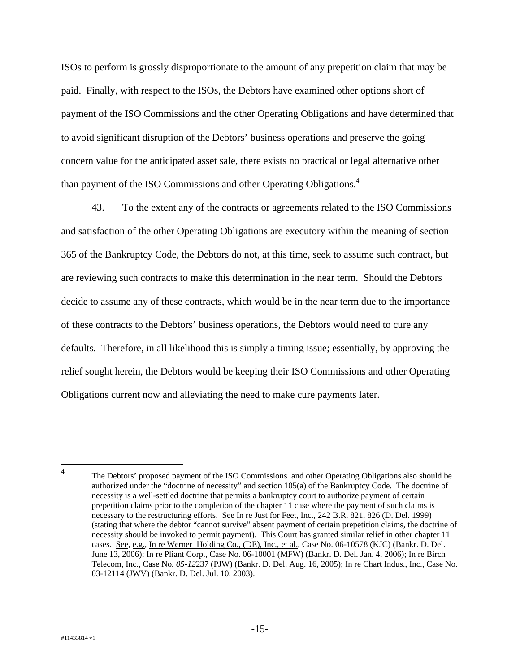ISOs to perform is grossly disproportionate to the amount of any prepetition claim that may be paid. Finally, with respect to the ISOs, the Debtors have examined other options short of payment of the ISO Commissions and the other Operating Obligations and have determined that to avoid significant disruption of the Debtors' business operations and preserve the going concern value for the anticipated asset sale, there exists no practical or legal alternative other than payment of the ISO Commissions and other Operating Obligations.4

43. To the extent any of the contracts or agreements related to the ISO Commissions and satisfaction of the other Operating Obligations are executory within the meaning of section 365 of the Bankruptcy Code, the Debtors do not, at this time, seek to assume such contract, but are reviewing such contracts to make this determination in the near term. Should the Debtors decide to assume any of these contracts, which would be in the near term due to the importance of these contracts to the Debtors' business operations, the Debtors would need to cure any defaults. Therefore, in all likelihood this is simply a timing issue; essentially, by approving the relief sought herein, the Debtors would be keeping their ISO Commissions and other Operating Obligations current now and alleviating the need to make cure payments later.

 $\frac{1}{4}$  The Debtors' proposed payment of the ISO Commissions and other Operating Obligations also should be authorized under the "doctrine of necessity" and section 105(a) of the Bankruptcy Code. The doctrine of necessity is a well-settled doctrine that permits a bankruptcy court to authorize payment of certain prepetition claims prior to the completion of the chapter 11 case where the payment of such claims is necessary to the restructuring efforts. See In re Just for Feet, Inc., 242 B.R. 821, 826 (D. Del. 1999) (stating that where the debtor "cannot survive" absent payment of certain prepetition claims, the doctrine of necessity should be invoked to permit payment). This Court has granted similar relief in other chapter 11 cases. See*,* e.g.*,* In re Werner Holding Co., (DE), Inc., et al., Case No. 06-10578 (KJC) (Bankr. D. Del. June 13, 2006); In re Pliant Corp., Case No. 06-10001 (MFW) (Bankr. D. Del. Jan. 4, 2006); In re Birch Telecom, Inc.*,* Case No*. 05-12*237 (PJW) (Bankr. D. Del. Aug. 16, 2005); In re Chart Indus., Inc., Case No. 03-12114 (JWV) (Bankr. D. Del. Jul. 10, 2003).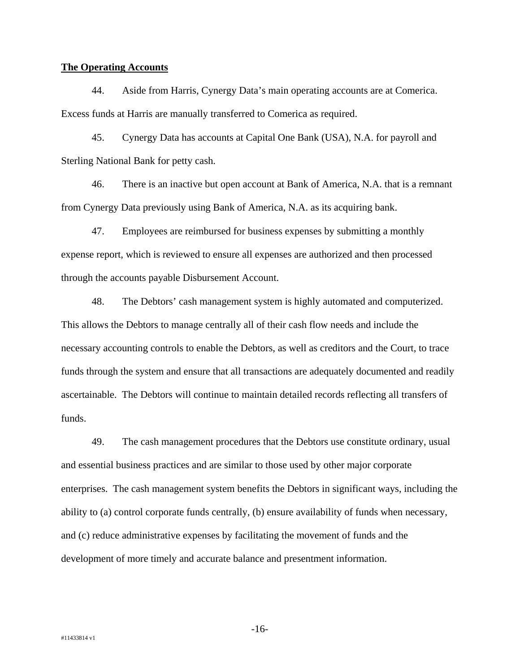#### **The Operating Accounts**

44. Aside from Harris, Cynergy Data's main operating accounts are at Comerica. Excess funds at Harris are manually transferred to Comerica as required.

45. Cynergy Data has accounts at Capital One Bank (USA), N.A. for payroll and Sterling National Bank for petty cash.

46. There is an inactive but open account at Bank of America, N.A. that is a remnant from Cynergy Data previously using Bank of America, N.A. as its acquiring bank.

47. Employees are reimbursed for business expenses by submitting a monthly expense report, which is reviewed to ensure all expenses are authorized and then processed through the accounts payable Disbursement Account.

48. The Debtors' cash management system is highly automated and computerized. This allows the Debtors to manage centrally all of their cash flow needs and include the necessary accounting controls to enable the Debtors, as well as creditors and the Court, to trace funds through the system and ensure that all transactions are adequately documented and readily ascertainable. The Debtors will continue to maintain detailed records reflecting all transfers of funds.

49. The cash management procedures that the Debtors use constitute ordinary, usual and essential business practices and are similar to those used by other major corporate enterprises. The cash management system benefits the Debtors in significant ways, including the ability to (a) control corporate funds centrally, (b) ensure availability of funds when necessary, and (c) reduce administrative expenses by facilitating the movement of funds and the development of more timely and accurate balance and presentment information.

-16-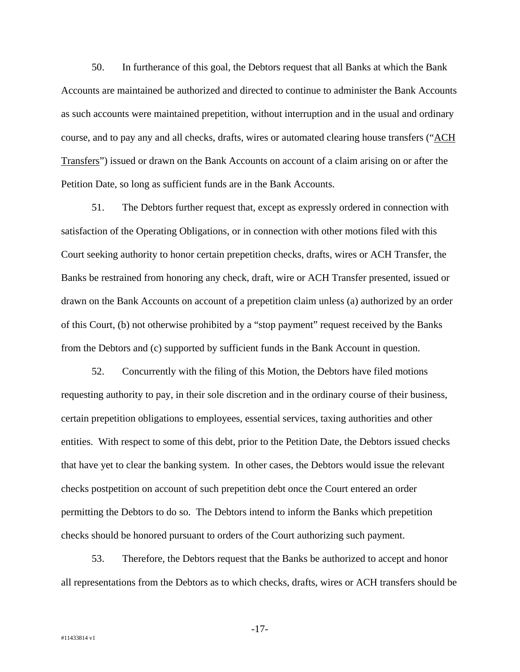50. In furtherance of this goal, the Debtors request that all Banks at which the Bank Accounts are maintained be authorized and directed to continue to administer the Bank Accounts as such accounts were maintained prepetition, without interruption and in the usual and ordinary course, and to pay any and all checks, drafts, wires or automated clearing house transfers ("ACH Transfers") issued or drawn on the Bank Accounts on account of a claim arising on or after the Petition Date, so long as sufficient funds are in the Bank Accounts.

51. The Debtors further request that, except as expressly ordered in connection with satisfaction of the Operating Obligations, or in connection with other motions filed with this Court seeking authority to honor certain prepetition checks, drafts, wires or ACH Transfer, the Banks be restrained from honoring any check, draft, wire or ACH Transfer presented, issued or drawn on the Bank Accounts on account of a prepetition claim unless (a) authorized by an order of this Court, (b) not otherwise prohibited by a "stop payment" request received by the Banks from the Debtors and (c) supported by sufficient funds in the Bank Account in question.

52. Concurrently with the filing of this Motion, the Debtors have filed motions requesting authority to pay, in their sole discretion and in the ordinary course of their business, certain prepetition obligations to employees, essential services, taxing authorities and other entities. With respect to some of this debt, prior to the Petition Date, the Debtors issued checks that have yet to clear the banking system. In other cases, the Debtors would issue the relevant checks postpetition on account of such prepetition debt once the Court entered an order permitting the Debtors to do so. The Debtors intend to inform the Banks which prepetition checks should be honored pursuant to orders of the Court authorizing such payment.

53. Therefore, the Debtors request that the Banks be authorized to accept and honor all representations from the Debtors as to which checks, drafts, wires or ACH transfers should be

-17-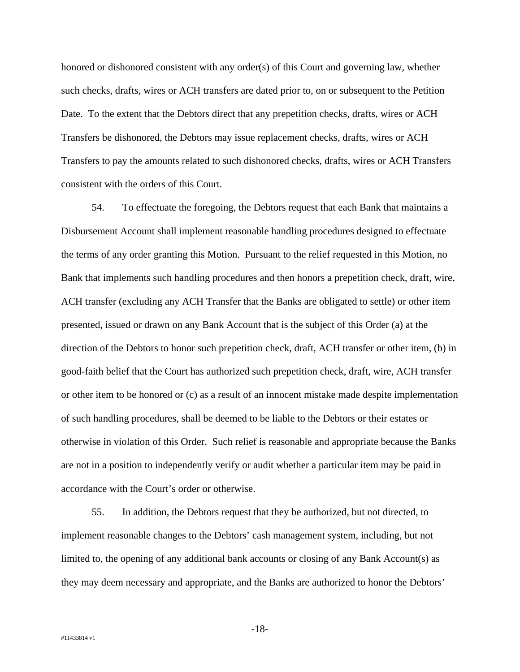honored or dishonored consistent with any order(s) of this Court and governing law, whether such checks, drafts, wires or ACH transfers are dated prior to, on or subsequent to the Petition Date. To the extent that the Debtors direct that any prepetition checks, drafts, wires or ACH Transfers be dishonored, the Debtors may issue replacement checks, drafts, wires or ACH Transfers to pay the amounts related to such dishonored checks, drafts, wires or ACH Transfers consistent with the orders of this Court.

54. To effectuate the foregoing, the Debtors request that each Bank that maintains a Disbursement Account shall implement reasonable handling procedures designed to effectuate the terms of any order granting this Motion. Pursuant to the relief requested in this Motion, no Bank that implements such handling procedures and then honors a prepetition check, draft, wire, ACH transfer (excluding any ACH Transfer that the Banks are obligated to settle) or other item presented, issued or drawn on any Bank Account that is the subject of this Order (a) at the direction of the Debtors to honor such prepetition check, draft, ACH transfer or other item, (b) in good-faith belief that the Court has authorized such prepetition check, draft, wire, ACH transfer or other item to be honored or (c) as a result of an innocent mistake made despite implementation of such handling procedures, shall be deemed to be liable to the Debtors or their estates or otherwise in violation of this Order. Such relief is reasonable and appropriate because the Banks are not in a position to independently verify or audit whether a particular item may be paid in accordance with the Court's order or otherwise.

55. In addition, the Debtors request that they be authorized, but not directed, to implement reasonable changes to the Debtors' cash management system, including, but not limited to, the opening of any additional bank accounts or closing of any Bank Account(s) as they may deem necessary and appropriate, and the Banks are authorized to honor the Debtors'

-18-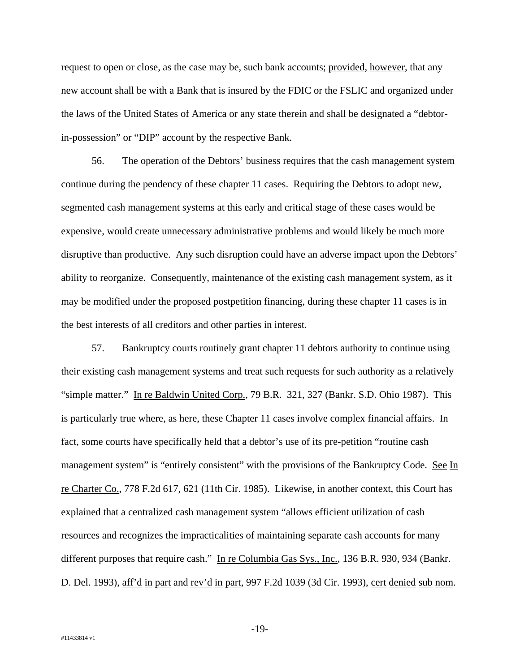request to open or close, as the case may be, such bank accounts; provided, however, that any new account shall be with a Bank that is insured by the FDIC or the FSLIC and organized under the laws of the United States of America or any state therein and shall be designated a "debtorin-possession" or "DIP" account by the respective Bank.

56. The operation of the Debtors' business requires that the cash management system continue during the pendency of these chapter 11 cases. Requiring the Debtors to adopt new, segmented cash management systems at this early and critical stage of these cases would be expensive, would create unnecessary administrative problems and would likely be much more disruptive than productive. Any such disruption could have an adverse impact upon the Debtors' ability to reorganize. Consequently, maintenance of the existing cash management system, as it may be modified under the proposed postpetition financing, during these chapter 11 cases is in the best interests of all creditors and other parties in interest.

57. Bankruptcy courts routinely grant chapter 11 debtors authority to continue using their existing cash management systems and treat such requests for such authority as a relatively "simple matter." In re Baldwin United Corp., 79 B.R. 321, 327 (Bankr. S.D. Ohio 1987). This is particularly true where, as here, these Chapter 11 cases involve complex financial affairs. In fact, some courts have specifically held that a debtor's use of its pre-petition "routine cash management system" is "entirely consistent" with the provisions of the Bankruptcy Code. See In re Charter Co., 778 F.2d 617, 621 (11th Cir. 1985). Likewise, in another context, this Court has explained that a centralized cash management system "allows efficient utilization of cash resources and recognizes the impracticalities of maintaining separate cash accounts for many different purposes that require cash." In re Columbia Gas Sys., Inc., 136 B.R. 930, 934 (Bankr. D. Del. 1993), aff'd in part and rev'd in part, 997 F.2d 1039 (3d Cir. 1993), cert denied sub nom.

-19-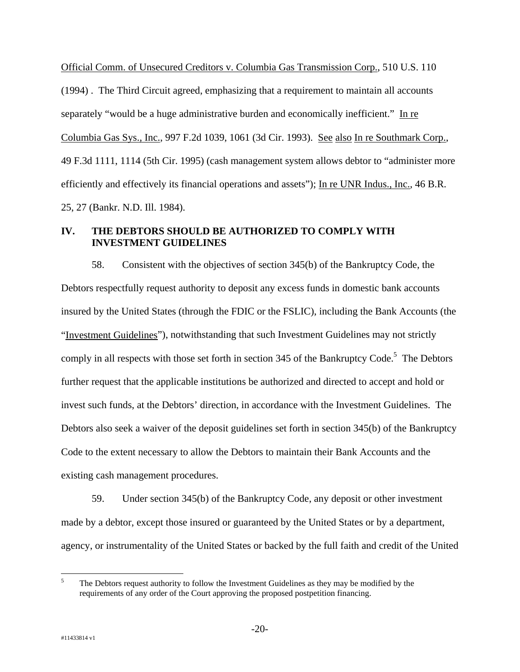Official Comm. of Unsecured Creditors v. Columbia Gas Transmission Corp., 510 U.S. 110 (1994) . The Third Circuit agreed, emphasizing that a requirement to maintain all accounts separately "would be a huge administrative burden and economically inefficient." In re Columbia Gas Sys., Inc., 997 F.2d 1039, 1061 (3d Cir. 1993). See also In re Southmark Corp., 49 F.3d 1111, 1114 (5th Cir. 1995) (cash management system allows debtor to "administer more efficiently and effectively its financial operations and assets"); In re UNR Indus., Inc., 46 B.R. 25, 27 (Bankr. N.D. Ill. 1984).

## **IV. THE DEBTORS SHOULD BE AUTHORIZED TO COMPLY WITH INVESTMENT GUIDELINES**

58. Consistent with the objectives of section 345(b) of the Bankruptcy Code, the Debtors respectfully request authority to deposit any excess funds in domestic bank accounts insured by the United States (through the FDIC or the FSLIC), including the Bank Accounts (the "Investment Guidelines"), notwithstanding that such Investment Guidelines may not strictly comply in all respects with those set forth in section 345 of the Bankruptcy Code.<sup>5</sup> The Debtors further request that the applicable institutions be authorized and directed to accept and hold or invest such funds, at the Debtors' direction, in accordance with the Investment Guidelines. The Debtors also seek a waiver of the deposit guidelines set forth in section 345(b) of the Bankruptcy Code to the extent necessary to allow the Debtors to maintain their Bank Accounts and the existing cash management procedures.

59. Under section 345(b) of the Bankruptcy Code, any deposit or other investment made by a debtor, except those insured or guaranteed by the United States or by a department, agency, or instrumentality of the United States or backed by the full faith and credit of the United

 $\frac{1}{5}$  The Debtors request authority to follow the Investment Guidelines as they may be modified by the requirements of any order of the Court approving the proposed postpetition financing.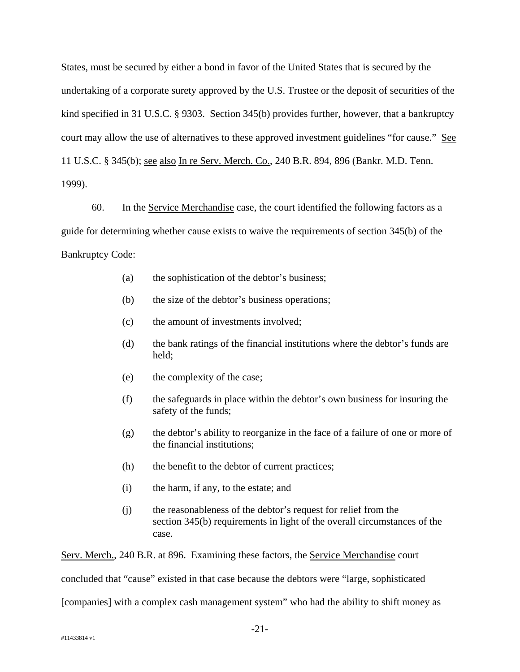States, must be secured by either a bond in favor of the United States that is secured by the undertaking of a corporate surety approved by the U.S. Trustee or the deposit of securities of the kind specified in 31 U.S.C. § 9303. Section 345(b) provides further, however, that a bankruptcy court may allow the use of alternatives to these approved investment guidelines "for cause." See 11 U.S.C. § 345(b); see also In re Serv. Merch. Co., 240 B.R. 894, 896 (Bankr. M.D. Tenn. 1999).

60. In the Service Merchandise case, the court identified the following factors as a guide for determining whether cause exists to waive the requirements of section 345(b) of the Bankruptcy Code:

- (a) the sophistication of the debtor's business;
- (b) the size of the debtor's business operations;
- (c) the amount of investments involved;
- (d) the bank ratings of the financial institutions where the debtor's funds are held;
- (e) the complexity of the case;
- (f) the safeguards in place within the debtor's own business for insuring the safety of the funds;
- (g) the debtor's ability to reorganize in the face of a failure of one or more of the financial institutions;
- (h) the benefit to the debtor of current practices;
- (i) the harm, if any, to the estate; and
- (j) the reasonableness of the debtor's request for relief from the section 345(b) requirements in light of the overall circumstances of the case.

Serv. Merch., 240 B.R. at 896. Examining these factors, the Service Merchandise court concluded that "cause" existed in that case because the debtors were "large, sophisticated [companies] with a complex cash management system" who had the ability to shift money as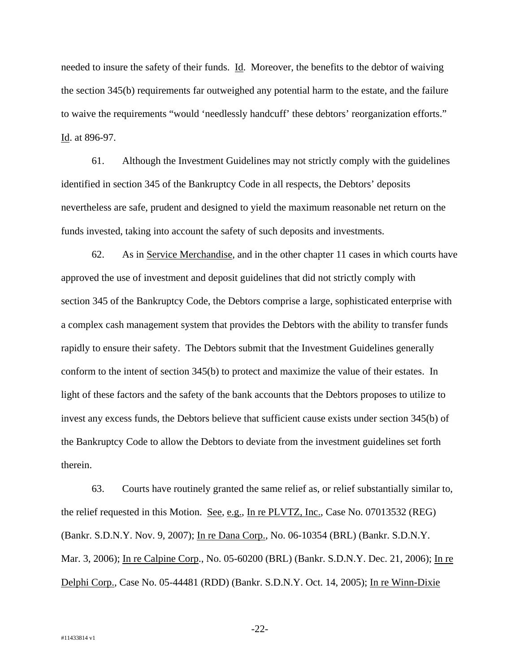needed to insure the safety of their funds. Id. Moreover, the benefits to the debtor of waiving the section 345(b) requirements far outweighed any potential harm to the estate, and the failure to waive the requirements "would 'needlessly handcuff' these debtors' reorganization efforts." Id. at 896-97.

61. Although the Investment Guidelines may not strictly comply with the guidelines identified in section 345 of the Bankruptcy Code in all respects, the Debtors' deposits nevertheless are safe, prudent and designed to yield the maximum reasonable net return on the funds invested, taking into account the safety of such deposits and investments.

62. As in Service Merchandise, and in the other chapter 11 cases in which courts have approved the use of investment and deposit guidelines that did not strictly comply with section 345 of the Bankruptcy Code, the Debtors comprise a large, sophisticated enterprise with a complex cash management system that provides the Debtors with the ability to transfer funds rapidly to ensure their safety. The Debtors submit that the Investment Guidelines generally conform to the intent of section 345(b) to protect and maximize the value of their estates. In light of these factors and the safety of the bank accounts that the Debtors proposes to utilize to invest any excess funds, the Debtors believe that sufficient cause exists under section 345(b) of the Bankruptcy Code to allow the Debtors to deviate from the investment guidelines set forth therein.

63. Courts have routinely granted the same relief as, or relief substantially similar to, the relief requested in this Motion. See, e.g., In re PLVTZ, Inc., Case No. 07013532 (REG) (Bankr. S.D.N.Y. Nov. 9, 2007); In re Dana Corp., No. 06-10354 (BRL) (Bankr. S.D.N.Y. Mar. 3, 2006); In re Calpine Corp., No. 05-60200 (BRL) (Bankr. S.D.N.Y. Dec. 21, 2006); In re Delphi Corp., Case No. 05-44481 (RDD) (Bankr. S.D.N.Y. Oct. 14, 2005); In re Winn-Dixie

-22-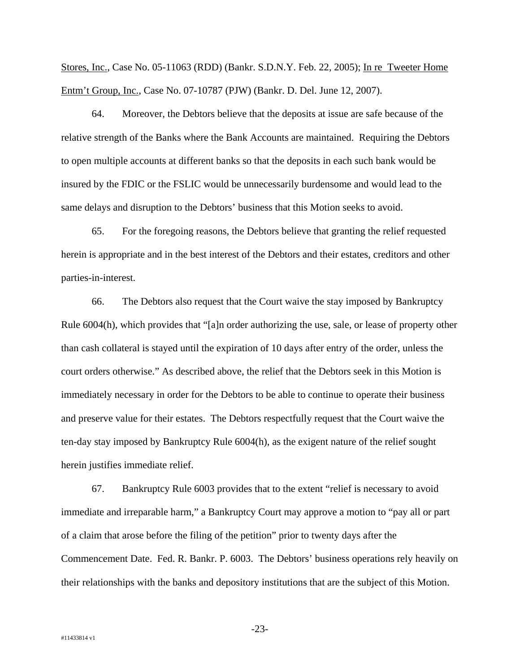Stores, Inc., Case No. 05-11063 (RDD) (Bankr. S.D.N.Y. Feb. 22, 2005); In re Tweeter Home Entm't Group, Inc., Case No. 07-10787 (PJW) (Bankr. D. Del. June 12, 2007).

64. Moreover, the Debtors believe that the deposits at issue are safe because of the relative strength of the Banks where the Bank Accounts are maintained. Requiring the Debtors to open multiple accounts at different banks so that the deposits in each such bank would be insured by the FDIC or the FSLIC would be unnecessarily burdensome and would lead to the same delays and disruption to the Debtors' business that this Motion seeks to avoid.

65. For the foregoing reasons, the Debtors believe that granting the relief requested herein is appropriate and in the best interest of the Debtors and their estates, creditors and other parties-in-interest.

66. The Debtors also request that the Court waive the stay imposed by Bankruptcy Rule 6004(h), which provides that "[a]n order authorizing the use, sale, or lease of property other than cash collateral is stayed until the expiration of 10 days after entry of the order, unless the court orders otherwise." As described above, the relief that the Debtors seek in this Motion is immediately necessary in order for the Debtors to be able to continue to operate their business and preserve value for their estates. The Debtors respectfully request that the Court waive the ten-day stay imposed by Bankruptcy Rule 6004(h), as the exigent nature of the relief sought herein justifies immediate relief.

67. Bankruptcy Rule 6003 provides that to the extent "relief is necessary to avoid immediate and irreparable harm," a Bankruptcy Court may approve a motion to "pay all or part of a claim that arose before the filing of the petition" prior to twenty days after the Commencement Date. Fed. R. Bankr. P. 6003. The Debtors' business operations rely heavily on their relationships with the banks and depository institutions that are the subject of this Motion.

-23-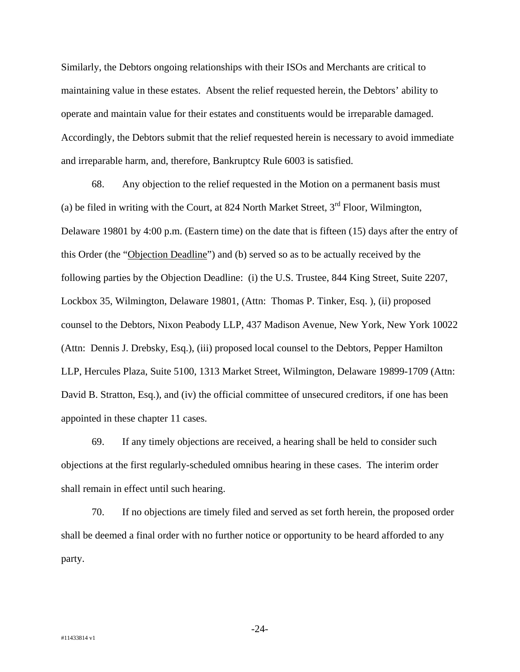Similarly, the Debtors ongoing relationships with their ISOs and Merchants are critical to maintaining value in these estates. Absent the relief requested herein, the Debtors' ability to operate and maintain value for their estates and constituents would be irreparable damaged. Accordingly, the Debtors submit that the relief requested herein is necessary to avoid immediate and irreparable harm, and, therefore, Bankruptcy Rule 6003 is satisfied.

68. Any objection to the relief requested in the Motion on a permanent basis must (a) be filed in writing with the Court, at 824 North Market Street,  $3<sup>rd</sup>$  Floor, Wilmington, Delaware 19801 by 4:00 p.m. (Eastern time) on the date that is fifteen (15) days after the entry of this Order (the "Objection Deadline") and (b) served so as to be actually received by the following parties by the Objection Deadline: (i) the U.S. Trustee, 844 King Street, Suite 2207, Lockbox 35, Wilmington, Delaware 19801, (Attn: Thomas P. Tinker, Esq. ), (ii) proposed counsel to the Debtors, Nixon Peabody LLP, 437 Madison Avenue, New York, New York 10022 (Attn: Dennis J. Drebsky, Esq.), (iii) proposed local counsel to the Debtors, Pepper Hamilton LLP, Hercules Plaza, Suite 5100, 1313 Market Street, Wilmington, Delaware 19899-1709 (Attn: David B. Stratton, Esq.), and (iv) the official committee of unsecured creditors, if one has been appointed in these chapter 11 cases.

69. If any timely objections are received, a hearing shall be held to consider such objections at the first regularly-scheduled omnibus hearing in these cases. The interim order shall remain in effect until such hearing.

70. If no objections are timely filed and served as set forth herein, the proposed order shall be deemed a final order with no further notice or opportunity to be heard afforded to any party.

-24-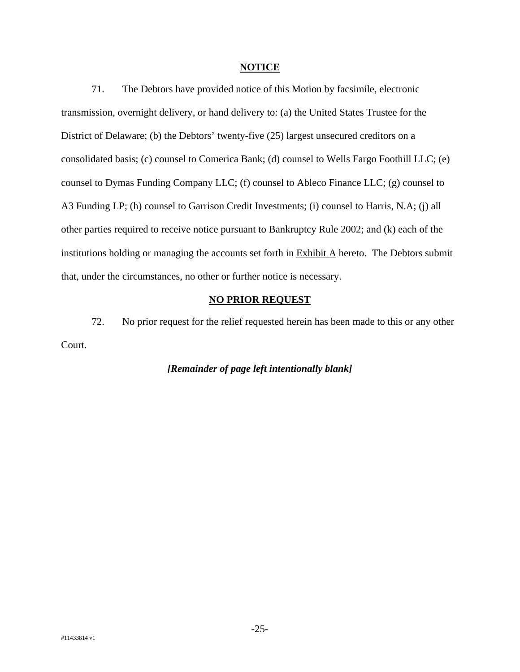#### **NOTICE**

71. The Debtors have provided notice of this Motion by facsimile, electronic transmission, overnight delivery, or hand delivery to: (a) the United States Trustee for the District of Delaware; (b) the Debtors' twenty-five (25) largest unsecured creditors on a consolidated basis; (c) counsel to Comerica Bank; (d) counsel to Wells Fargo Foothill LLC; (e) counsel to Dymas Funding Company LLC; (f) counsel to Ableco Finance LLC; (g) counsel to A3 Funding LP; (h) counsel to Garrison Credit Investments; (i) counsel to Harris, N.A; (j) all other parties required to receive notice pursuant to Bankruptcy Rule 2002; and (k) each of the institutions holding or managing the accounts set forth in Exhibit A hereto. The Debtors submit that, under the circumstances, no other or further notice is necessary.

### **NO PRIOR REQUEST**

72. No prior request for the relief requested herein has been made to this or any other Court.

### *[Remainder of page left intentionally blank]*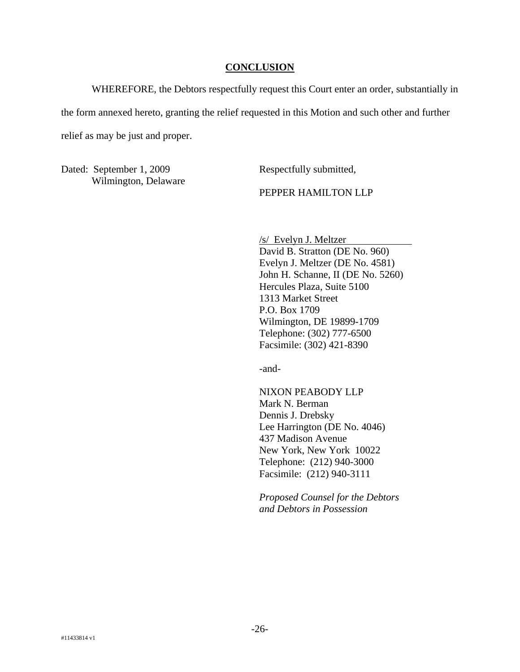#### **CONCLUSION**

WHEREFORE, the Debtors respectfully request this Court enter an order, substantially in the form annexed hereto, granting the relief requested in this Motion and such other and further relief as may be just and proper.

Dated: September 1, 2009 Wilmington, Delaware Respectfully submitted,

PEPPER HAMILTON LLP

/s/ Evelyn J. Meltzer David B. Stratton (DE No. 960) Evelyn J. Meltzer (DE No. 4581) John H. Schanne, II (DE No. 5260) Hercules Plaza, Suite 5100 1313 Market Street P.O. Box 1709 Wilmington, DE 19899-1709 Telephone: (302) 777-6500 Facsimile: (302) 421-8390

-and-

NIXON PEABODY LLP Mark N. Berman Dennis J. Drebsky Lee Harrington (DE No. 4046) 437 Madison Avenue New York, New York 10022 Telephone: (212) 940-3000 Facsimile: (212) 940-3111

*Proposed Counsel for the Debtors and Debtors in Possession*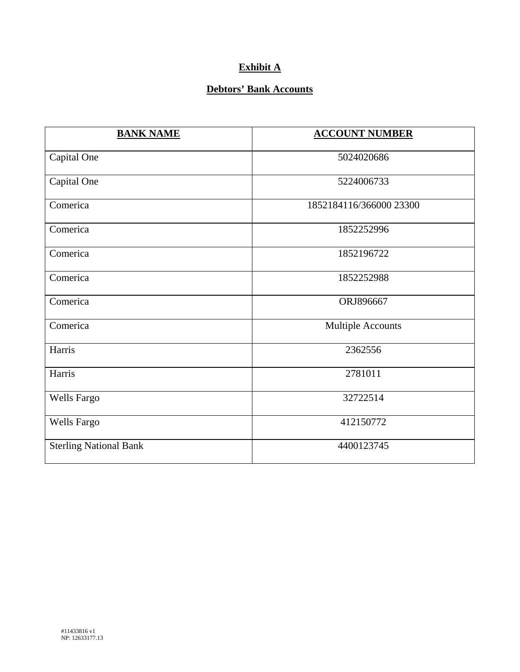# **Exhibit A**

## **Debtors' Bank Accounts**

| <b>BANK NAME</b>              | <b>ACCOUNT NUMBER</b>    |
|-------------------------------|--------------------------|
| Capital One                   | 5024020686               |
| Capital One                   | 5224006733               |
| Comerica                      | 1852184116/366000 23300  |
| Comerica                      | 1852252996               |
| Comerica                      | 1852196722               |
| Comerica                      | 1852252988               |
| Comerica                      | ORJ896667                |
| Comerica                      | <b>Multiple Accounts</b> |
| Harris                        | 2362556                  |
| Harris                        | 2781011                  |
| <b>Wells Fargo</b>            | 32722514                 |
| <b>Wells Fargo</b>            | 412150772                |
| <b>Sterling National Bank</b> | 4400123745               |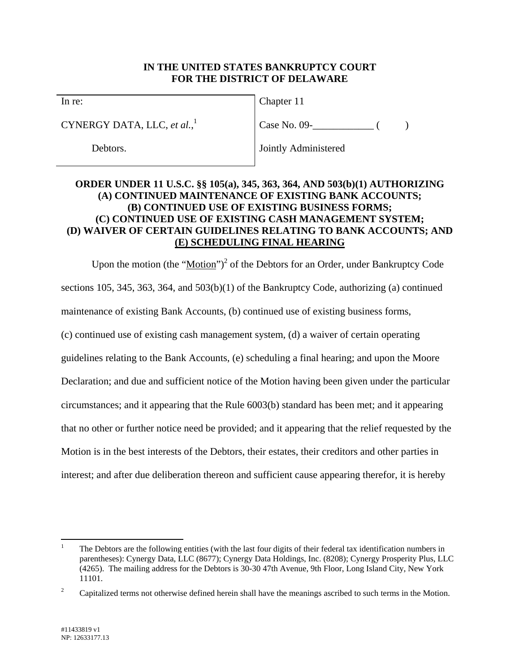## **IN THE UNITED STATES BANKRUPTCY COURT FOR THE DISTRICT OF DELAWARE**

In re:

CYNERGY DATA, LLC, *et al.*, 1

Debtors.

Chapter 11

Case No. 09- ( )

Jointly Administered

## **ORDER UNDER 11 U.S.C. §§ 105(a), 345, 363, 364, AND 503(b)(1) AUTHORIZING (A) CONTINUED MAINTENANCE OF EXISTING BANK ACCOUNTS; (B) CONTINUED USE OF EXISTING BUSINESS FORMS; (C) CONTINUED USE OF EXISTING CASH MANAGEMENT SYSTEM; (D) WAIVER OF CERTAIN GUIDELINES RELATING TO BANK ACCOUNTS; AND (E) SCHEDULING FINAL HEARING**

Upon the motion (the "Motion")<sup>2</sup> of the Debtors for an Order, under Bankruptcy Code sections 105, 345, 363, 364, and 503(b)(1) of the Bankruptcy Code, authorizing (a) continued maintenance of existing Bank Accounts, (b) continued use of existing business forms, (c) continued use of existing cash management system, (d) a waiver of certain operating guidelines relating to the Bank Accounts, (e) scheduling a final hearing; and upon the Moore Declaration; and due and sufficient notice of the Motion having been given under the particular circumstances; and it appearing that the Rule 6003(b) standard has been met; and it appearing that no other or further notice need be provided; and it appearing that the relief requested by the Motion is in the best interests of the Debtors, their estates, their creditors and other parties in interest; and after due deliberation thereon and sufficient cause appearing therefor, it is hereby

 $\overline{a}$ 1 The Debtors are the following entities (with the last four digits of their federal tax identification numbers in parentheses): Cynergy Data, LLC (8677); Cynergy Data Holdings, Inc. (8208); Cynergy Prosperity Plus, LLC (4265). The mailing address for the Debtors is 30-30 47th Avenue, 9th Floor, Long Island City, New York 11101.

<sup>2</sup> Capitalized terms not otherwise defined herein shall have the meanings ascribed to such terms in the Motion.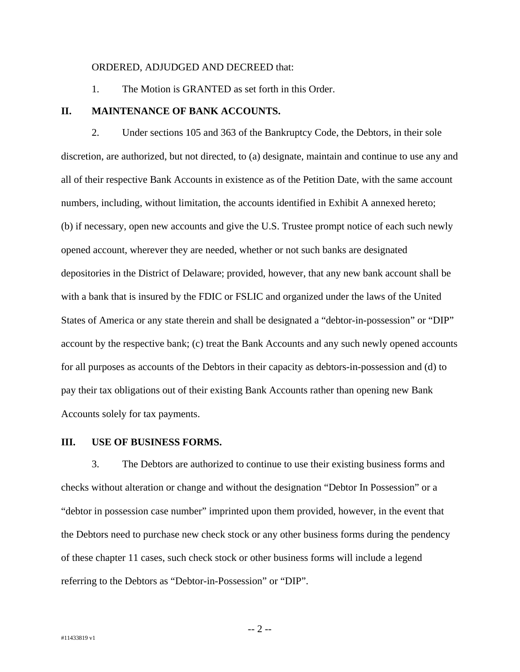#### ORDERED, ADJUDGED AND DECREED that:

1. The Motion is GRANTED as set forth in this Order.

#### **II. MAINTENANCE OF BANK ACCOUNTS.**

2. Under sections 105 and 363 of the Bankruptcy Code, the Debtors, in their sole discretion, are authorized, but not directed, to (a) designate, maintain and continue to use any and all of their respective Bank Accounts in existence as of the Petition Date, with the same account numbers, including, without limitation, the accounts identified in Exhibit A annexed hereto; (b) if necessary, open new accounts and give the U.S. Trustee prompt notice of each such newly opened account, wherever they are needed, whether or not such banks are designated depositories in the District of Delaware; provided, however, that any new bank account shall be with a bank that is insured by the FDIC or FSLIC and organized under the laws of the United States of America or any state therein and shall be designated a "debtor-in-possession" or "DIP" account by the respective bank; (c) treat the Bank Accounts and any such newly opened accounts for all purposes as accounts of the Debtors in their capacity as debtors-in-possession and (d) to pay their tax obligations out of their existing Bank Accounts rather than opening new Bank Accounts solely for tax payments.

#### **III. USE OF BUSINESS FORMS.**

3. The Debtors are authorized to continue to use their existing business forms and checks without alteration or change and without the designation "Debtor In Possession" or a "debtor in possession case number" imprinted upon them provided, however, in the event that the Debtors need to purchase new check stock or any other business forms during the pendency of these chapter 11 cases, such check stock or other business forms will include a legend referring to the Debtors as "Debtor-in-Possession" or "DIP".

-- 2 --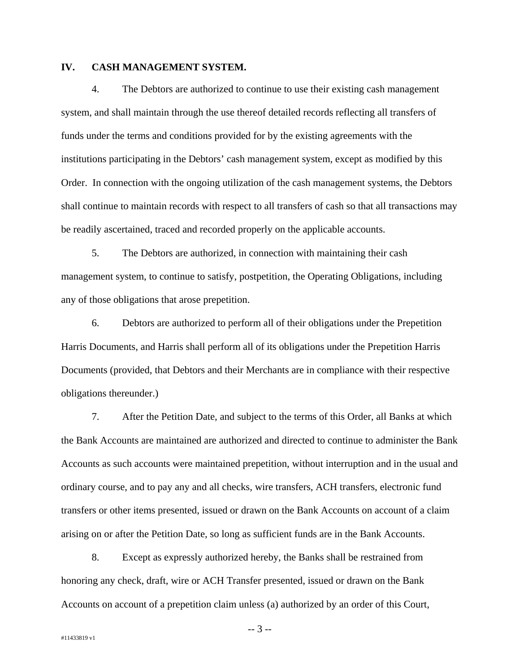### **IV. CASH MANAGEMENT SYSTEM.**

4. The Debtors are authorized to continue to use their existing cash management system, and shall maintain through the use thereof detailed records reflecting all transfers of funds under the terms and conditions provided for by the existing agreements with the institutions participating in the Debtors' cash management system, except as modified by this Order. In connection with the ongoing utilization of the cash management systems, the Debtors shall continue to maintain records with respect to all transfers of cash so that all transactions may be readily ascertained, traced and recorded properly on the applicable accounts.

5. The Debtors are authorized, in connection with maintaining their cash management system, to continue to satisfy, postpetition, the Operating Obligations, including any of those obligations that arose prepetition.

6. Debtors are authorized to perform all of their obligations under the Prepetition Harris Documents, and Harris shall perform all of its obligations under the Prepetition Harris Documents (provided, that Debtors and their Merchants are in compliance with their respective obligations thereunder.)

7. After the Petition Date, and subject to the terms of this Order, all Banks at which the Bank Accounts are maintained are authorized and directed to continue to administer the Bank Accounts as such accounts were maintained prepetition, without interruption and in the usual and ordinary course, and to pay any and all checks, wire transfers, ACH transfers, electronic fund transfers or other items presented, issued or drawn on the Bank Accounts on account of a claim arising on or after the Petition Date, so long as sufficient funds are in the Bank Accounts.

8. Except as expressly authorized hereby, the Banks shall be restrained from honoring any check, draft, wire or ACH Transfer presented, issued or drawn on the Bank Accounts on account of a prepetition claim unless (a) authorized by an order of this Court,

-- 3 --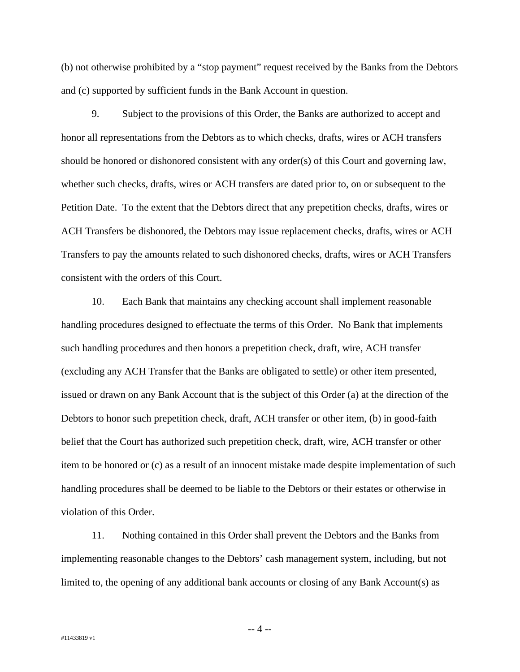(b) not otherwise prohibited by a "stop payment" request received by the Banks from the Debtors and (c) supported by sufficient funds in the Bank Account in question.

9. Subject to the provisions of this Order, the Banks are authorized to accept and honor all representations from the Debtors as to which checks, drafts, wires or ACH transfers should be honored or dishonored consistent with any order(s) of this Court and governing law, whether such checks, drafts, wires or ACH transfers are dated prior to, on or subsequent to the Petition Date. To the extent that the Debtors direct that any prepetition checks, drafts, wires or ACH Transfers be dishonored, the Debtors may issue replacement checks, drafts, wires or ACH Transfers to pay the amounts related to such dishonored checks, drafts, wires or ACH Transfers consistent with the orders of this Court.

10. Each Bank that maintains any checking account shall implement reasonable handling procedures designed to effectuate the terms of this Order. No Bank that implements such handling procedures and then honors a prepetition check, draft, wire, ACH transfer (excluding any ACH Transfer that the Banks are obligated to settle) or other item presented, issued or drawn on any Bank Account that is the subject of this Order (a) at the direction of the Debtors to honor such prepetition check, draft, ACH transfer or other item, (b) in good-faith belief that the Court has authorized such prepetition check, draft, wire, ACH transfer or other item to be honored or (c) as a result of an innocent mistake made despite implementation of such handling procedures shall be deemed to be liable to the Debtors or their estates or otherwise in violation of this Order.

11. Nothing contained in this Order shall prevent the Debtors and the Banks from implementing reasonable changes to the Debtors' cash management system, including, but not limited to, the opening of any additional bank accounts or closing of any Bank Account(s) as

-- 4 --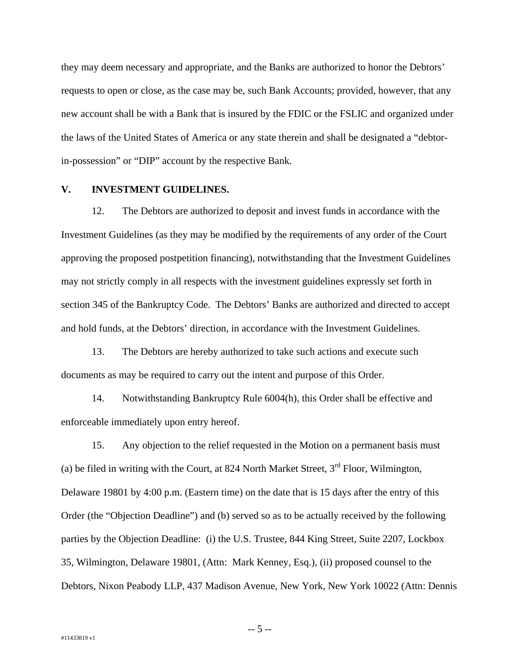they may deem necessary and appropriate, and the Banks are authorized to honor the Debtors' requests to open or close, as the case may be, such Bank Accounts; provided, however, that any new account shall be with a Bank that is insured by the FDIC or the FSLIC and organized under the laws of the United States of America or any state therein and shall be designated a "debtorin-possession" or "DIP" account by the respective Bank.

#### **V. INVESTMENT GUIDELINES.**

12. The Debtors are authorized to deposit and invest funds in accordance with the Investment Guidelines (as they may be modified by the requirements of any order of the Court approving the proposed postpetition financing), notwithstanding that the Investment Guidelines may not strictly comply in all respects with the investment guidelines expressly set forth in section 345 of the Bankruptcy Code. The Debtors' Banks are authorized and directed to accept and hold funds, at the Debtors' direction, in accordance with the Investment Guidelines.

13. The Debtors are hereby authorized to take such actions and execute such documents as may be required to carry out the intent and purpose of this Order.

14. Notwithstanding Bankruptcy Rule 6004(h), this Order shall be effective and enforceable immediately upon entry hereof.

15. Any objection to the relief requested in the Motion on a permanent basis must (a) be filed in writing with the Court, at 824 North Market Street,  $3<sup>rd</sup>$  Floor, Wilmington, Delaware 19801 by 4:00 p.m. (Eastern time) on the date that is 15 days after the entry of this Order (the "Objection Deadline") and (b) served so as to be actually received by the following parties by the Objection Deadline: (i) the U.S. Trustee, 844 King Street, Suite 2207, Lockbox 35, Wilmington, Delaware 19801, (Attn: Mark Kenney, Esq.), (ii) proposed counsel to the Debtors, Nixon Peabody LLP, 437 Madison Avenue, New York, New York 10022 (Attn: Dennis

-- 5 --